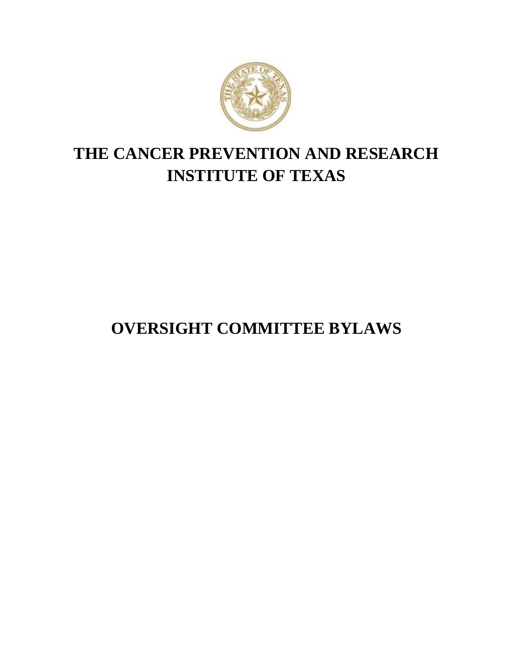

# **THE CANCER PREVENTION AND RESEARCH INSTITUTE OF TEXAS**

# **OVERSIGHT COMMITTEE BYLAWS**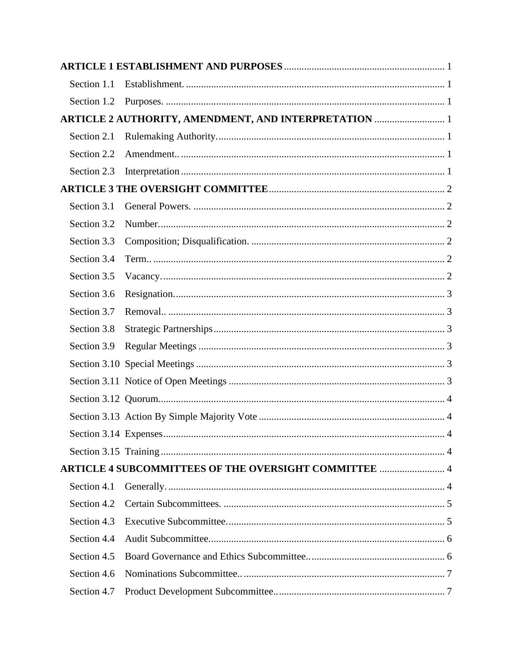| Section 1.1 |                                                              |  |
|-------------|--------------------------------------------------------------|--|
| Section 1.2 |                                                              |  |
|             | ARTICLE 2 AUTHORITY, AMENDMENT, AND INTERPRETATION  1        |  |
| Section 2.1 |                                                              |  |
| Section 2.2 |                                                              |  |
| Section 2.3 |                                                              |  |
|             |                                                              |  |
| Section 3.1 |                                                              |  |
| Section 3.2 |                                                              |  |
| Section 3.3 |                                                              |  |
| Section 3.4 |                                                              |  |
| Section 3.5 |                                                              |  |
| Section 3.6 |                                                              |  |
| Section 3.7 |                                                              |  |
| Section 3.8 |                                                              |  |
| Section 3.9 |                                                              |  |
|             |                                                              |  |
|             |                                                              |  |
|             |                                                              |  |
|             |                                                              |  |
|             | . 4                                                          |  |
|             |                                                              |  |
|             | <b>ARTICLE 4 SUBCOMMITTEES OF THE OVERSIGHT COMMITTEE  4</b> |  |
| Section 4.1 |                                                              |  |
| Section 4.2 |                                                              |  |
| Section 4.3 |                                                              |  |
| Section 4.4 |                                                              |  |
| Section 4.5 |                                                              |  |
| Section 4.6 |                                                              |  |
| Section 4.7 |                                                              |  |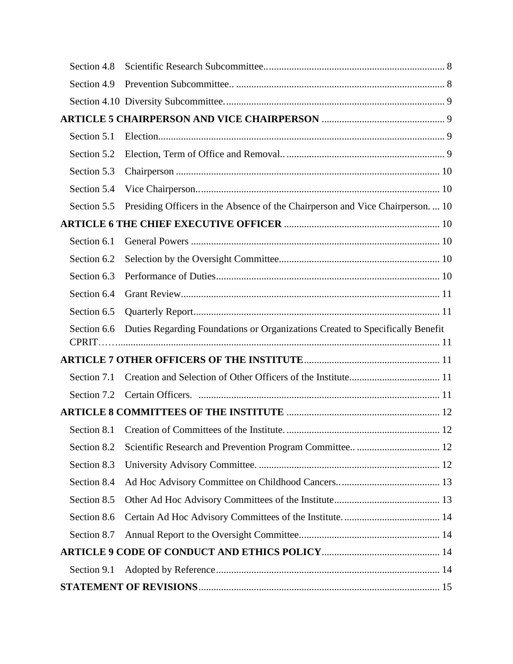| Section 4.8 |                                                                               |  |
|-------------|-------------------------------------------------------------------------------|--|
| Section 4.9 |                                                                               |  |
|             |                                                                               |  |
|             |                                                                               |  |
| Section 5.1 |                                                                               |  |
| Section 5.2 |                                                                               |  |
| Section 5.3 |                                                                               |  |
| Section 5.4 |                                                                               |  |
| Section 5.5 | Presiding Officers in the Absence of the Chairperson and Vice Chairperson 10  |  |
|             |                                                                               |  |
| Section 6.1 |                                                                               |  |
| Section 6.2 |                                                                               |  |
| Section 6.3 |                                                                               |  |
| Section 6.4 |                                                                               |  |
| Section 6.5 |                                                                               |  |
| Section 6.6 | Duties Regarding Foundations or Organizations Created to Specifically Benefit |  |
|             |                                                                               |  |
|             |                                                                               |  |
| Section 7.1 |                                                                               |  |
| Section 7.2 |                                                                               |  |
|             |                                                                               |  |
|             |                                                                               |  |
| Section 8.2 |                                                                               |  |
| Section 8.3 |                                                                               |  |
| Section 8.4 |                                                                               |  |
| Section 8.5 |                                                                               |  |
| Section 8.6 |                                                                               |  |
| Section 8.7 |                                                                               |  |
|             |                                                                               |  |
| Section 9.1 |                                                                               |  |
|             |                                                                               |  |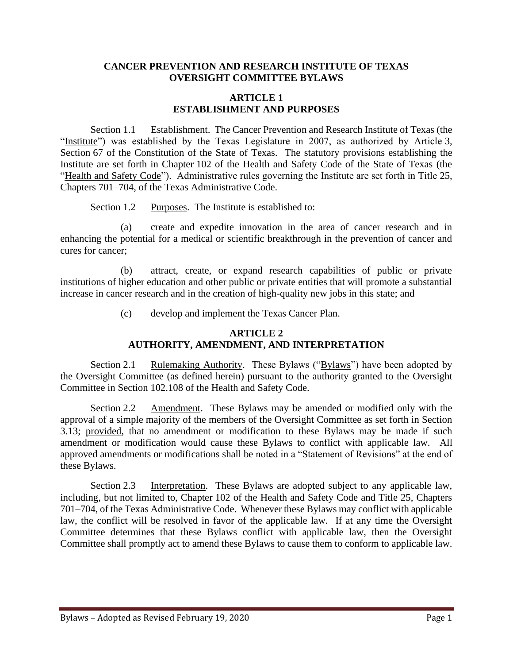#### **CANCER PREVENTION AND RESEARCH INSTITUTE OF TEXAS OVERSIGHT COMMITTEE BYLAWS**

#### **ARTICLE 1 ESTABLISHMENT AND PURPOSES**

<span id="page-3-1"></span><span id="page-3-0"></span>Section 1.1 Establishment. The Cancer Prevention and Research Institute of Texas (the "Institute") was established by the Texas Legislature in 2007, as authorized by Article 3, Section 67 of the Constitution of the State of Texas. The statutory provisions establishing the Institute are set forth in Chapter 102 of the Health and Safety Code of the State of Texas (the "Health and Safety Code"). Administrative rules governing the Institute are set forth in Title 25, Chapters 701–704, of the Texas Administrative Code.

Section 1.2 Purposes. The Institute is established to:

<span id="page-3-2"></span>(a) create and expedite innovation in the area of cancer research and in enhancing the potential for a medical or scientific breakthrough in the prevention of cancer and cures for cancer;

(b) attract, create, or expand research capabilities of public or private institutions of higher education and other public or private entities that will promote a substantial increase in cancer research and in the creation of high-quality new jobs in this state; and

(c) develop and implement the Texas Cancer Plan.

## **ARTICLE 2 AUTHORITY, AMENDMENT, AND INTERPRETATION**

<span id="page-3-4"></span><span id="page-3-3"></span>Section 2.1 Rulemaking Authority. These Bylaws ("Bylaws") have been adopted by the Oversight Committee (as defined herein) pursuant to the authority granted to the Oversight Committee in Section 102.108 of the Health and Safety Code.

<span id="page-3-5"></span>Section 2.2 Amendment. These Bylaws may be amended or modified only with the approval of a simple majority of the members of the Oversight Committee as set forth in Section 3.13; provided, that no amendment or modification to these Bylaws may be made if such amendment or modification would cause these Bylaws to conflict with applicable law. All approved amendments or modifications shall be noted in a "Statement of Revisions" at the end of these Bylaws.

<span id="page-3-6"></span>Section 2.3 Interpretation. These Bylaws are adopted subject to any applicable law, including, but not limited to, Chapter 102 of the Health and Safety Code and Title 25, Chapters 701–704, of the Texas Administrative Code. Whenever these Bylaws may conflict with applicable law, the conflict will be resolved in favor of the applicable law. If at any time the Oversight Committee determines that these Bylaws conflict with applicable law, then the Oversight Committee shall promptly act to amend these Bylaws to cause them to conform to applicable law.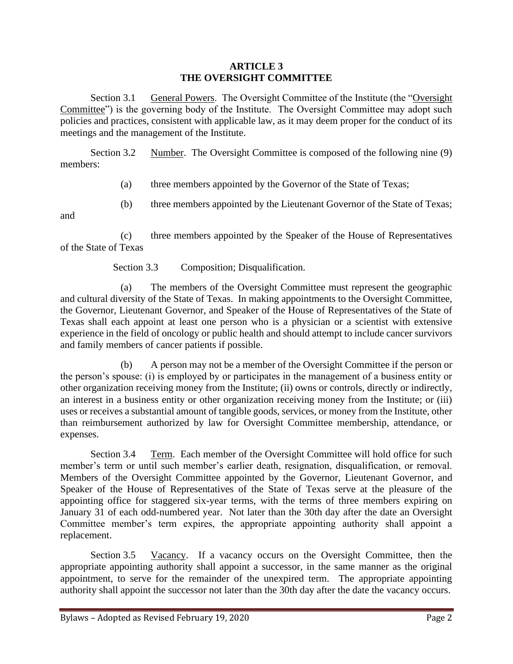### **ARTICLE 3 THE OVERSIGHT COMMITTEE**

<span id="page-4-1"></span><span id="page-4-0"></span>Section 3.1 General Powers. The Oversight Committee of the Institute (the "Oversight Committee") is the governing body of the Institute. The Oversight Committee may adopt such policies and practices, consistent with applicable law, as it may deem proper for the conduct of its meetings and the management of the Institute.

<span id="page-4-2"></span>Section 3.2 Number. The Oversight Committee is composed of the following nine (9) members:

(a) three members appointed by the Governor of the State of Texas;

(b) three members appointed by the Lieutenant Governor of the State of Texas;

and

(c) three members appointed by the Speaker of the House of Representatives of the State of Texas

Section 3.3 Composition; Disqualification.

<span id="page-4-3"></span>(a) The members of the Oversight Committee must represent the geographic and cultural diversity of the State of Texas. In making appointments to the Oversight Committee, the Governor, Lieutenant Governor, and Speaker of the House of Representatives of the State of Texas shall each appoint at least one person who is a physician or a scientist with extensive experience in the field of oncology or public health and should attempt to include cancer survivors and family members of cancer patients if possible.

(b) A person may not be a member of the Oversight Committee if the person or the person's spouse: (i) is employed by or participates in the management of a business entity or other organization receiving money from the Institute; (ii) owns or controls, directly or indirectly, an interest in a business entity or other organization receiving money from the Institute; or (iii) uses or receives a substantial amount of tangible goods, services, or money from the Institute, other than reimbursement authorized by law for Oversight Committee membership, attendance, or expenses.

<span id="page-4-4"></span>Section 3.4 Term. Each member of the Oversight Committee will hold office for such member's term or until such member's earlier death, resignation, disqualification, or removal. Members of the Oversight Committee appointed by the Governor, Lieutenant Governor, and Speaker of the House of Representatives of the State of Texas serve at the pleasure of the appointing office for staggered six-year terms, with the terms of three members expiring on January 31 of each odd-numbered year. Not later than the 30th day after the date an Oversight Committee member's term expires, the appropriate appointing authority shall appoint a replacement.

<span id="page-4-5"></span>Section 3.5 Vacancy. If a vacancy occurs on the Oversight Committee, then the appropriate appointing authority shall appoint a successor, in the same manner as the original appointment, to serve for the remainder of the unexpired term. The appropriate appointing authority shall appoint the successor not later than the 30th day after the date the vacancy occurs.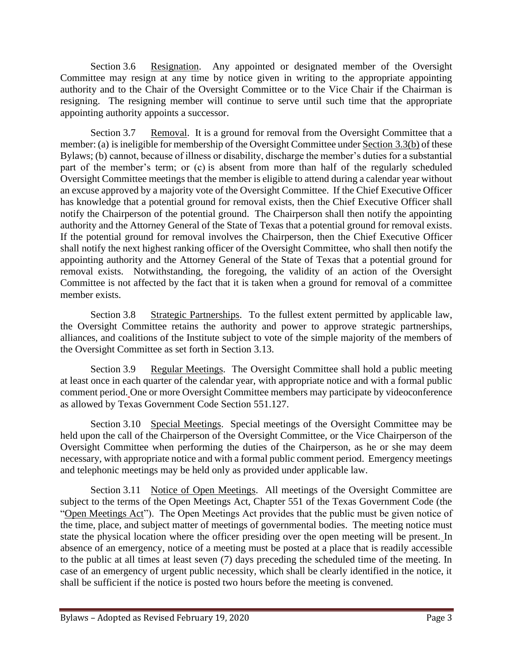<span id="page-5-0"></span>Section 3.6 Resignation. Any appointed or designated member of the Oversight Committee may resign at any time by notice given in writing to the appropriate appointing authority and to the Chair of the Oversight Committee or to the Vice Chair if the Chairman is resigning. The resigning member will continue to serve until such time that the appropriate appointing authority appoints a successor.

<span id="page-5-1"></span>Section 3.7 Removal. It is a ground for removal from the Oversight Committee that a member: (a) is ineligible for membership of the Oversight Committee under Section 3.3(b) of these Bylaws; (b) cannot, because of illness or disability, discharge the member's duties for a substantial part of the member's term; or (c) is absent from more than half of the regularly scheduled Oversight Committee meetings that the member is eligible to attend during a calendar year without an excuse approved by a majority vote of the Oversight Committee. If the Chief Executive Officer has knowledge that a potential ground for removal exists, then the Chief Executive Officer shall notify the Chairperson of the potential ground. The Chairperson shall then notify the appointing authority and the Attorney General of the State of Texas that a potential ground for removal exists. If the potential ground for removal involves the Chairperson, then the Chief Executive Officer shall notify the next highest ranking officer of the Oversight Committee, who shall then notify the appointing authority and the Attorney General of the State of Texas that a potential ground for removal exists. Notwithstanding, the foregoing, the validity of an action of the Oversight Committee is not affected by the fact that it is taken when a ground for removal of a committee member exists.

<span id="page-5-2"></span>Section 3.8 Strategic Partnerships. To the fullest extent permitted by applicable law, the Oversight Committee retains the authority and power to approve strategic partnerships, alliances, and coalitions of the Institute subject to vote of the simple majority of the members of the Oversight Committee as set forth in Section 3.13.

<span id="page-5-3"></span>Section 3.9 Regular Meetings. The Oversight Committee shall hold a public meeting at least once in each quarter of the calendar year, with appropriate notice and with a formal public comment period. One or more Oversight Committee members may participate by videoconference as allowed by Texas Government Code Section 551.127.

<span id="page-5-4"></span>Section 3.10 Special Meetings. Special meetings of the Oversight Committee may be held upon the call of the Chairperson of the Oversight Committee, or the Vice Chairperson of the Oversight Committee when performing the duties of the Chairperson, as he or she may deem necessary, with appropriate notice and with a formal public comment period. Emergency meetings and telephonic meetings may be held only as provided under applicable law.

<span id="page-5-5"></span>Section 3.11 Notice of Open Meetings. All meetings of the Oversight Committee are subject to the terms of the Open Meetings Act, Chapter 551 of the Texas Government Code (the "Open Meetings Act"). The Open Meetings Act provides that the public must be given notice of the time, place, and subject matter of meetings of governmental bodies. The meeting notice must state the physical location where the officer presiding over the open meeting will be present. In absence of an emergency, notice of a meeting must be posted at a place that is readily accessible to the public at all times at least seven (7) days preceding the scheduled time of the meeting. In case of an emergency of urgent public necessity, which shall be clearly identified in the notice, it shall be sufficient if the notice is posted two hours before the meeting is convened.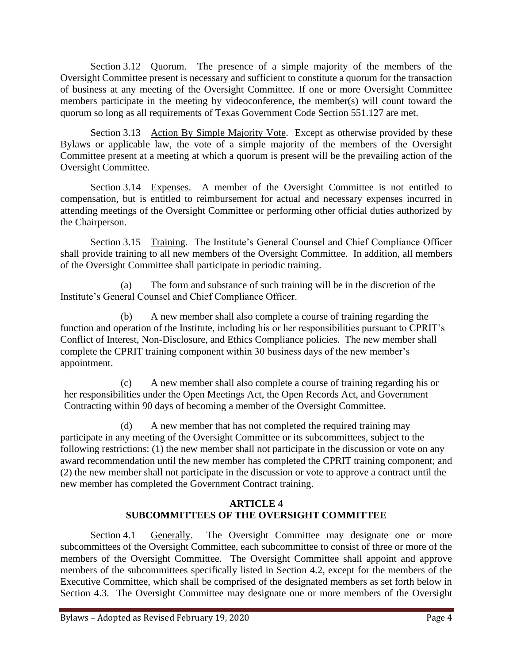<span id="page-6-0"></span>Section 3.12 Quorum. The presence of a simple majority of the members of the Oversight Committee present is necessary and sufficient to constitute a quorum for the transaction of business at any meeting of the Oversight Committee. If one or more Oversight Committee members participate in the meeting by videoconference, the member(s) will count toward the quorum so long as all requirements of Texas Government Code Section 551.127 are met.

<span id="page-6-1"></span>Section 3.13 Action By Simple Majority Vote. Except as otherwise provided by these Bylaws or applicable law, the vote of a simple majority of the members of the Oversight Committee present at a meeting at which a quorum is present will be the prevailing action of the Oversight Committee.

<span id="page-6-2"></span>Section 3.14 Expenses. A member of the Oversight Committee is not entitled to compensation, but is entitled to reimbursement for actual and necessary expenses incurred in attending meetings of the Oversight Committee or performing other official duties authorized by the Chairperson.

<span id="page-6-3"></span>Section 3.15 Training. The Institute's General Counsel and Chief Compliance Officer shall provide training to all new members of the Oversight Committee. In addition, all members of the Oversight Committee shall participate in periodic training.

(a) The form and substance of such training will be in the discretion of the Institute's General Counsel and Chief Compliance Officer.

(b) A new member shall also complete a course of training regarding the function and operation of the Institute, including his or her responsibilities pursuant to CPRIT's Conflict of Interest, Non-Disclosure, and Ethics Compliance policies. The new member shall complete the CPRIT training component within 30 business days of the new member's appointment.

(c) A new member shall also complete a course of training regarding his or her responsibilities under the Open Meetings Act, the Open Records Act, and Government Contracting within 90 days of becoming a member of the Oversight Committee.

(d) A new member that has not completed the required training may participate in any meeting of the Oversight Committee or its subcommittees, subject to the following restrictions: (1) the new member shall not participate in the discussion or vote on any award recommendation until the new member has completed the CPRIT training component; and (2) the new member shall not participate in the discussion or vote to approve a contract until the new member has completed the Government Contract training.

## **ARTICLE 4 SUBCOMMITTEES OF THE OVERSIGHT COMMITTEE**

<span id="page-6-5"></span><span id="page-6-4"></span>Section 4.1 Generally. The Oversight Committee may designate one or more subcommittees of the Oversight Committee, each subcommittee to consist of three or more of the members of the Oversight Committee. The Oversight Committee shall appoint and approve members of the subcommittees specifically listed in Section 4.2, except for the members of the Executive Committee, which shall be comprised of the designated members as set forth below in Section 4.3. The Oversight Committee may designate one or more members of the Oversight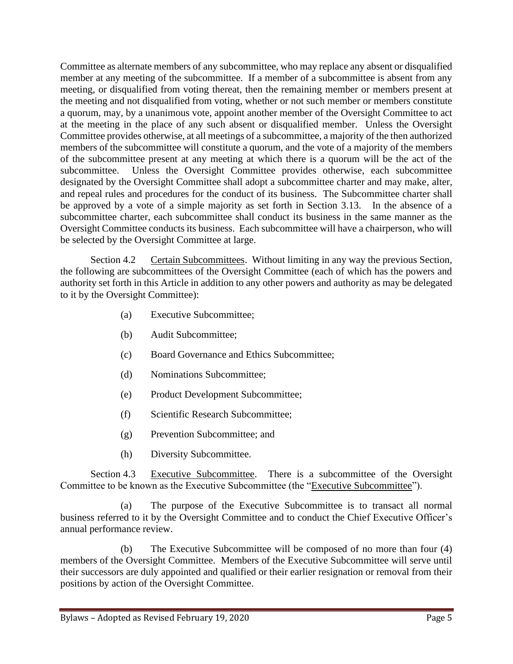Committee as alternate members of any subcommittee, who may replace any absent or disqualified member at any meeting of the subcommittee. If a member of a subcommittee is absent from any meeting, or disqualified from voting thereat, then the remaining member or members present at the meeting and not disqualified from voting, whether or not such member or members constitute a quorum, may, by a unanimous vote, appoint another member of the Oversight Committee to act at the meeting in the place of any such absent or disqualified member. Unless the Oversight Committee provides otherwise, at all meetings of a subcommittee, a majority of the then authorized members of the subcommittee will constitute a quorum, and the vote of a majority of the members of the subcommittee present at any meeting at which there is a quorum will be the act of the subcommittee. Unless the Oversight Committee provides otherwise, each subcommittee designated by the Oversight Committee shall adopt a subcommittee charter and may make, alter, and repeal rules and procedures for the conduct of its business. The Subcommittee charter shall be approved by a vote of a simple majority as set forth in Section 3.13. In the absence of a subcommittee charter, each subcommittee shall conduct its business in the same manner as the Oversight Committee conducts its business. Each subcommittee will have a chairperson, who will be selected by the Oversight Committee at large.

<span id="page-7-0"></span>Section 4.2 Certain Subcommittees. Without limiting in any way the previous Section, the following are subcommittees of the Oversight Committee (each of which has the powers and authority set forth in this Article in addition to any other powers and authority as may be delegated to it by the Oversight Committee):

- (a) Executive Subcommittee;
- (b) Audit Subcommittee;
- (c) Board Governance and Ethics Subcommittee;
- (d) Nominations Subcommittee;
- (e) Product Development Subcommittee;
- (f) Scientific Research Subcommittee;
- (g) Prevention Subcommittee; and
- (h) Diversity Subcommittee.

<span id="page-7-1"></span>Section 4.3 Executive Subcommittee. There is a subcommittee of the Oversight Committee to be known as the Executive Subcommittee (the "Executive Subcommittee").

(a) The purpose of the Executive Subcommittee is to transact all normal business referred to it by the Oversight Committee and to conduct the Chief Executive Officer's annual performance review.

(b) The Executive Subcommittee will be composed of no more than four (4) members of the Oversight Committee. Members of the Executive Subcommittee will serve until their successors are duly appointed and qualified or their earlier resignation or removal from their positions by action of the Oversight Committee.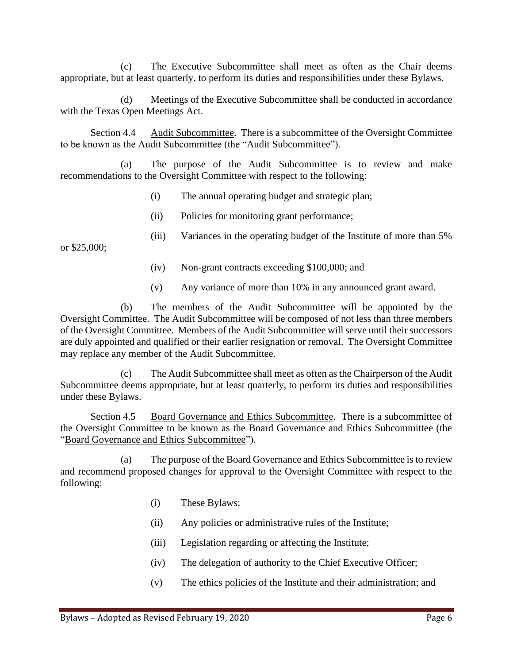(c) The Executive Subcommittee shall meet as often as the Chair deems appropriate, but at least quarterly, to perform its duties and responsibilities under these Bylaws.

(d) Meetings of the Executive Subcommittee shall be conducted in accordance with the Texas Open Meetings Act.

<span id="page-8-0"></span>Section 4.4 Audit Subcommittee. There is a subcommittee of the Oversight Committee to be known as the Audit Subcommittee (the "Audit Subcommittee").

(a) The purpose of the Audit Subcommittee is to review and make recommendations to the Oversight Committee with respect to the following:

- (i) The annual operating budget and strategic plan;
- (ii) Policies for monitoring grant performance;
- or \$25,000;
- (iii) Variances in the operating budget of the Institute of more than 5%
	- (iv) Non-grant contracts exceeding \$100,000; and
	- (v) Any variance of more than 10% in any announced grant award.

(b) The members of the Audit Subcommittee will be appointed by the Oversight Committee. The Audit Subcommittee will be composed of not less than three members of the Oversight Committee. Members of the Audit Subcommittee will serve until their successors are duly appointed and qualified or their earlier resignation or removal. The Oversight Committee may replace any member of the Audit Subcommittee.

(c) The Audit Subcommittee shall meet as often as the Chairperson of the Audit Subcommittee deems appropriate, but at least quarterly, to perform its duties and responsibilities under these Bylaws.

<span id="page-8-1"></span>Section 4.5 Board Governance and Ethics Subcommittee. There is a subcommittee of the Oversight Committee to be known as the Board Governance and Ethics Subcommittee (the "Board Governance and Ethics Subcommittee").

(a) The purpose of the Board Governance and Ethics Subcommittee is to review and recommend proposed changes for approval to the Oversight Committee with respect to the following:

- (i) These Bylaws;
- (ii) Any policies or administrative rules of the Institute;
- (iii) Legislation regarding or affecting the Institute;
- (iv) The delegation of authority to the Chief Executive Officer;
- (v) The ethics policies of the Institute and their administration; and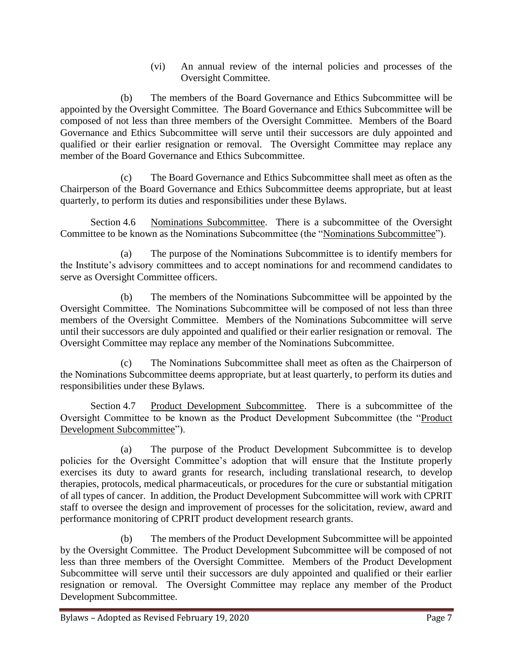(vi) An annual review of the internal policies and processes of the Oversight Committee.

(b) The members of the Board Governance and Ethics Subcommittee will be appointed by the Oversight Committee. The Board Governance and Ethics Subcommittee will be composed of not less than three members of the Oversight Committee. Members of the Board Governance and Ethics Subcommittee will serve until their successors are duly appointed and qualified or their earlier resignation or removal. The Oversight Committee may replace any member of the Board Governance and Ethics Subcommittee.

(c) The Board Governance and Ethics Subcommittee shall meet as often as the Chairperson of the Board Governance and Ethics Subcommittee deems appropriate, but at least quarterly, to perform its duties and responsibilities under these Bylaws.

<span id="page-9-0"></span>Section 4.6 Nominations Subcommittee. There is a subcommittee of the Oversight Committee to be known as the Nominations Subcommittee (the "Nominations Subcommittee").

(a) The purpose of the Nominations Subcommittee is to identify members for the Institute's advisory committees and to accept nominations for and recommend candidates to serve as Oversight Committee officers.

(b) The members of the Nominations Subcommittee will be appointed by the Oversight Committee. The Nominations Subcommittee will be composed of not less than three members of the Oversight Committee. Members of the Nominations Subcommittee will serve until their successors are duly appointed and qualified or their earlier resignation or removal. The Oversight Committee may replace any member of the Nominations Subcommittee.

(c) The Nominations Subcommittee shall meet as often as the Chairperson of the Nominations Subcommittee deems appropriate, but at least quarterly, to perform its duties and responsibilities under these Bylaws.

<span id="page-9-1"></span>Section 4.7 Product Development Subcommittee. There is a subcommittee of the Oversight Committee to be known as the Product Development Subcommittee (the "Product Development Subcommittee").

(a) The purpose of the Product Development Subcommittee is to develop policies for the Oversight Committee's adoption that will ensure that the Institute properly exercises its duty to award grants for research, including translational research, to develop therapies, protocols, medical pharmaceuticals, or procedures for the cure or substantial mitigation of all types of cancer. In addition, the Product Development Subcommittee will work with CPRIT staff to oversee the design and improvement of processes for the solicitation, review, award and performance monitoring of CPRIT product development research grants.

(b) The members of the Product Development Subcommittee will be appointed by the Oversight Committee. The Product Development Subcommittee will be composed of not less than three members of the Oversight Committee. Members of the Product Development Subcommittee will serve until their successors are duly appointed and qualified or their earlier resignation or removal. The Oversight Committee may replace any member of the Product Development Subcommittee.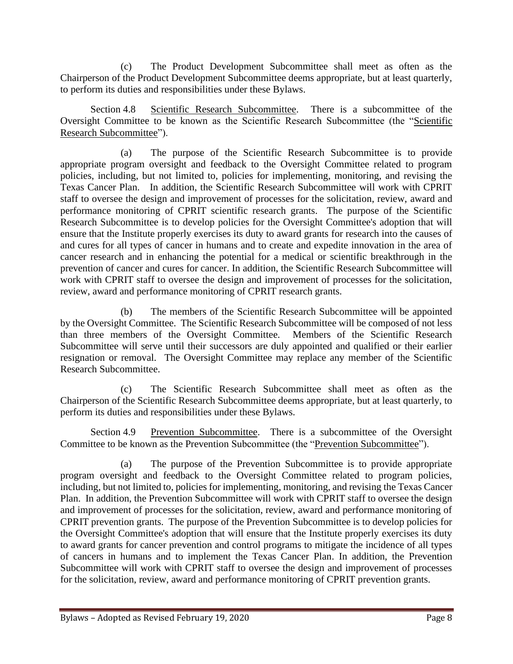(c) The Product Development Subcommittee shall meet as often as the Chairperson of the Product Development Subcommittee deems appropriate, but at least quarterly, to perform its duties and responsibilities under these Bylaws.

<span id="page-10-0"></span>Section 4.8 Scientific Research Subcommittee. There is a subcommittee of the Oversight Committee to be known as the Scientific Research Subcommittee (the "Scientific Research Subcommittee").

(a) The purpose of the Scientific Research Subcommittee is to provide appropriate program oversight and feedback to the Oversight Committee related to program policies, including, but not limited to, policies for implementing, monitoring, and revising the Texas Cancer Plan. In addition, the Scientific Research Subcommittee will work with CPRIT staff to oversee the design and improvement of processes for the solicitation, review, award and performance monitoring of CPRIT scientific research grants. The purpose of the Scientific Research Subcommittee is to develop policies for the Oversight Committee's adoption that will ensure that the Institute properly exercises its duty to award grants for research into the causes of and cures for all types of cancer in humans and to create and expedite innovation in the area of cancer research and in enhancing the potential for a medical or scientific breakthrough in the prevention of cancer and cures for cancer. In addition, the Scientific Research Subcommittee will work with CPRIT staff to oversee the design and improvement of processes for the solicitation, review, award and performance monitoring of CPRIT research grants.

(b) The members of the Scientific Research Subcommittee will be appointed by the Oversight Committee. The Scientific Research Subcommittee will be composed of not less than three members of the Oversight Committee. Members of the Scientific Research Subcommittee will serve until their successors are duly appointed and qualified or their earlier resignation or removal. The Oversight Committee may replace any member of the Scientific Research Subcommittee.

(c) The Scientific Research Subcommittee shall meet as often as the Chairperson of the Scientific Research Subcommittee deems appropriate, but at least quarterly, to perform its duties and responsibilities under these Bylaws.

<span id="page-10-1"></span>Section 4.9 Prevention Subcommittee. There is a subcommittee of the Oversight Committee to be known as the Prevention Subcommittee (the "Prevention Subcommittee").

(a) The purpose of the Prevention Subcommittee is to provide appropriate program oversight and feedback to the Oversight Committee related to program policies, including, but not limited to, policies for implementing, monitoring, and revising the Texas Cancer Plan. In addition, the Prevention Subcommittee will work with CPRIT staff to oversee the design and improvement of processes for the solicitation, review, award and performance monitoring of CPRIT prevention grants. The purpose of the Prevention Subcommittee is to develop policies for the Oversight Committee's adoption that will ensure that the Institute properly exercises its duty to award grants for cancer prevention and control programs to mitigate the incidence of all types of cancers in humans and to implement the Texas Cancer Plan. In addition, the Prevention Subcommittee will work with CPRIT staff to oversee the design and improvement of processes for the solicitation, review, award and performance monitoring of CPRIT prevention grants.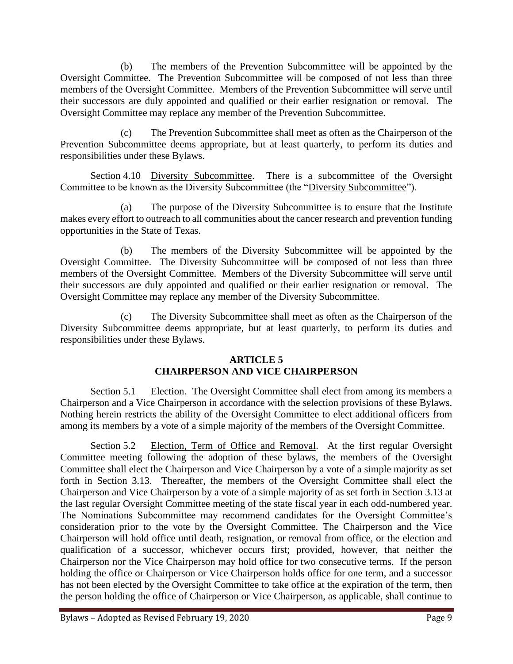(b) The members of the Prevention Subcommittee will be appointed by the Oversight Committee. The Prevention Subcommittee will be composed of not less than three members of the Oversight Committee. Members of the Prevention Subcommittee will serve until their successors are duly appointed and qualified or their earlier resignation or removal. The Oversight Committee may replace any member of the Prevention Subcommittee.

(c) The Prevention Subcommittee shall meet as often as the Chairperson of the Prevention Subcommittee deems appropriate, but at least quarterly, to perform its duties and responsibilities under these Bylaws.

<span id="page-11-0"></span>Section 4.10 Diversity Subcommittee. There is a subcommittee of the Oversight Committee to be known as the Diversity Subcommittee (the "Diversity Subcommittee").

(a) The purpose of the Diversity Subcommittee is to ensure that the Institute makes every effort to outreach to all communities about the cancer research and prevention funding opportunities in the State of Texas.

(b) The members of the Diversity Subcommittee will be appointed by the Oversight Committee. The Diversity Subcommittee will be composed of not less than three members of the Oversight Committee. Members of the Diversity Subcommittee will serve until their successors are duly appointed and qualified or their earlier resignation or removal. The Oversight Committee may replace any member of the Diversity Subcommittee.

(c) The Diversity Subcommittee shall meet as often as the Chairperson of the Diversity Subcommittee deems appropriate, but at least quarterly, to perform its duties and responsibilities under these Bylaws.

## **ARTICLE 5 CHAIRPERSON AND VICE CHAIRPERSON**

<span id="page-11-2"></span><span id="page-11-1"></span>Section 5.1 Election. The Oversight Committee shall elect from among its members a Chairperson and a Vice Chairperson in accordance with the selection provisions of these Bylaws. Nothing herein restricts the ability of the Oversight Committee to elect additional officers from among its members by a vote of a simple majority of the members of the Oversight Committee.

<span id="page-11-3"></span>Section 5.2 Election, Term of Office and Removal. At the first regular Oversight Committee meeting following the adoption of these bylaws, the members of the Oversight Committee shall elect the Chairperson and Vice Chairperson by a vote of a simple majority as set forth in Section 3.13. Thereafter, the members of the Oversight Committee shall elect the Chairperson and Vice Chairperson by a vote of a simple majority of as set forth in Section 3.13 at the last regular Oversight Committee meeting of the state fiscal year in each odd-numbered year. The Nominations Subcommittee may recommend candidates for the Oversight Committee's consideration prior to the vote by the Oversight Committee. The Chairperson and the Vice Chairperson will hold office until death, resignation, or removal from office, or the election and qualification of a successor, whichever occurs first; provided, however, that neither the Chairperson nor the Vice Chairperson may hold office for two consecutive terms. If the person holding the office or Chairperson or Vice Chairperson holds office for one term, and a successor has not been elected by the Oversight Committee to take office at the expiration of the term, then the person holding the office of Chairperson or Vice Chairperson, as applicable, shall continue to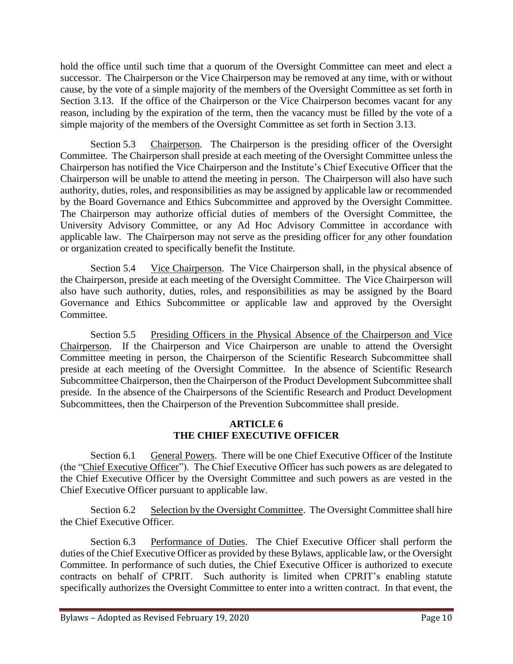hold the office until such time that a quorum of the Oversight Committee can meet and elect a successor. The Chairperson or the Vice Chairperson may be removed at any time, with or without cause, by the vote of a simple majority of the members of the Oversight Committee as set forth in Section 3.13. If the office of the Chairperson or the Vice Chairperson becomes vacant for any reason, including by the expiration of the term, then the vacancy must be filled by the vote of a simple majority of the members of the Oversight Committee as set forth in Section 3.13.

<span id="page-12-0"></span>Section 5.3 Chairperson. The Chairperson is the presiding officer of the Oversight Committee. The Chairperson shall preside at each meeting of the Oversight Committee unless the Chairperson has notified the Vice Chairperson and the Institute's Chief Executive Officer that the Chairperson will be unable to attend the meeting in person. The Chairperson will also have such authority, duties, roles, and responsibilities as may be assigned by applicable law or recommended by the Board Governance and Ethics Subcommittee and approved by the Oversight Committee. The Chairperson may authorize official duties of members of the Oversight Committee, the University Advisory Committee, or any Ad Hoc Advisory Committee in accordance with applicable law. The Chairperson may not serve as the presiding officer for any other foundation or organization created to specifically benefit the Institute.

<span id="page-12-1"></span>Section 5.4 Vice Chairperson. The Vice Chairperson shall, in the physical absence of the Chairperson, preside at each meeting of the Oversight Committee. The Vice Chairperson will also have such authority, duties, roles, and responsibilities as may be assigned by the Board Governance and Ethics Subcommittee or applicable law and approved by the Oversight Committee.

<span id="page-12-2"></span>Section 5.5 Presiding Officers in the Physical Absence of the Chairperson and Vice Chairperson. If the Chairperson and Vice Chairperson are unable to attend the Oversight Committee meeting in person, the Chairperson of the Scientific Research Subcommittee shall preside at each meeting of the Oversight Committee. In the absence of Scientific Research Subcommittee Chairperson, then the Chairperson of the Product Development Subcommittee shall preside. In the absence of the Chairpersons of the Scientific Research and Product Development Subcommittees, then the Chairperson of the Prevention Subcommittee shall preside.

## **ARTICLE 6 THE CHIEF EXECUTIVE OFFICER**

<span id="page-12-4"></span><span id="page-12-3"></span>Section 6.1 General Powers. There will be one Chief Executive Officer of the Institute (the "Chief Executive Officer"). The Chief Executive Officer has such powers as are delegated to the Chief Executive Officer by the Oversight Committee and such powers as are vested in the Chief Executive Officer pursuant to applicable law.

<span id="page-12-5"></span>Section 6.2 Selection by the Oversight Committee. The Oversight Committee shall hire the Chief Executive Officer.

<span id="page-12-6"></span>Section 6.3 Performance of Duties. The Chief Executive Officer shall perform the duties of the Chief Executive Officer as provided by these Bylaws, applicable law, or the Oversight Committee. In performance of such duties, the Chief Executive Officer is authorized to execute contracts on behalf of CPRIT. Such authority is limited when CPRIT's enabling statute specifically authorizes the Oversight Committee to enter into a written contract. In that event, the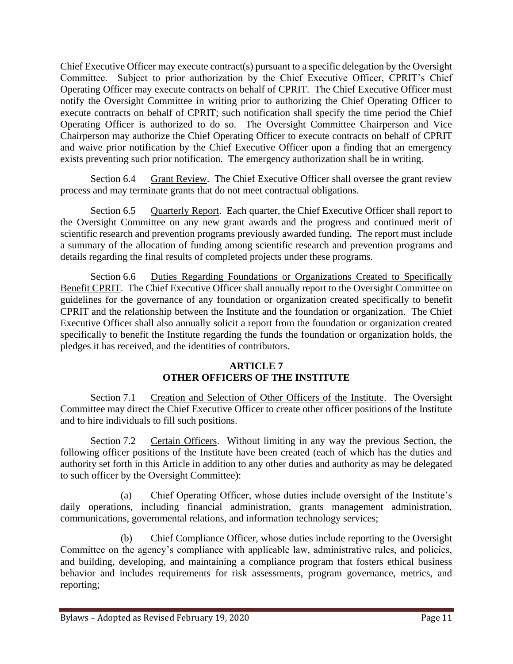Chief Executive Officer may execute contract(s) pursuant to a specific delegation by the Oversight Committee. Subject to prior authorization by the Chief Executive Officer, CPRIT's Chief Operating Officer may execute contracts on behalf of CPRIT. The Chief Executive Officer must notify the Oversight Committee in writing prior to authorizing the Chief Operating Officer to execute contracts on behalf of CPRIT; such notification shall specify the time period the Chief Operating Officer is authorized to do so. The Oversight Committee Chairperson and Vice Chairperson may authorize the Chief Operating Officer to execute contracts on behalf of CPRIT and waive prior notification by the Chief Executive Officer upon a finding that an emergency exists preventing such prior notification. The emergency authorization shall be in writing.

<span id="page-13-0"></span>Section 6.4 Grant Review. The Chief Executive Officer shall oversee the grant review process and may terminate grants that do not meet contractual obligations.

<span id="page-13-1"></span>Section 6.5 Quarterly Report. Each quarter, the Chief Executive Officer shall report to the Oversight Committee on any new grant awards and the progress and continued merit of scientific research and prevention programs previously awarded funding. The report must include a summary of the allocation of funding among scientific research and prevention programs and details regarding the final results of completed projects under these programs.

<span id="page-13-2"></span>Section 6.6 Duties Regarding Foundations or Organizations Created to Specifically Benefit CPRIT. The Chief Executive Officer shall annually report to the Oversight Committee on guidelines for the governance of any foundation or organization created specifically to benefit CPRIT and the relationship between the Institute and the foundation or organization. The Chief Executive Officer shall also annually solicit a report from the foundation or organization created specifically to benefit the Institute regarding the funds the foundation or organization holds, the pledges it has received, and the identities of contributors.

## **ARTICLE 7 OTHER OFFICERS OF THE INSTITUTE**

<span id="page-13-4"></span><span id="page-13-3"></span>Section 7.1 Creation and Selection of Other Officers of the Institute. The Oversight Committee may direct the Chief Executive Officer to create other officer positions of the Institute and to hire individuals to fill such positions.

<span id="page-13-5"></span>Section 7.2 Certain Officers. Without limiting in any way the previous Section, the following officer positions of the Institute have been created (each of which has the duties and authority set forth in this Article in addition to any other duties and authority as may be delegated to such officer by the Oversight Committee):

(a) Chief Operating Officer, whose duties include oversight of the Institute's daily operations, including financial administration, grants management administration, communications, governmental relations, and information technology services;

(b) Chief Compliance Officer, whose duties include reporting to the Oversight Committee on the agency's compliance with applicable law, administrative rules, and policies, and building, developing, and maintaining a compliance program that fosters ethical business behavior and includes requirements for risk assessments, program governance, metrics, and reporting;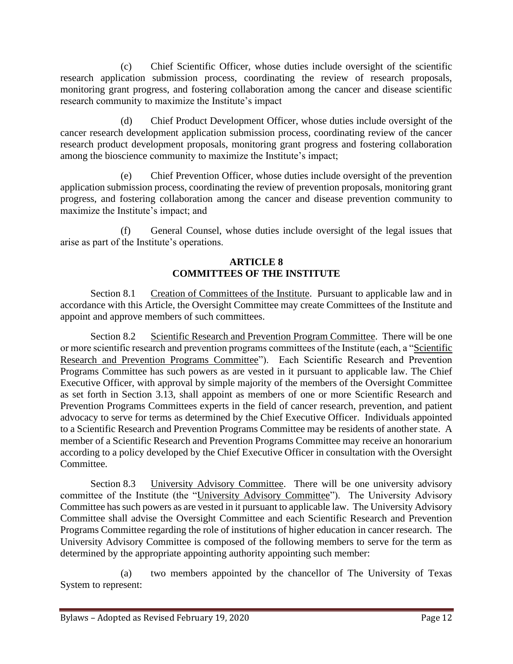(c) Chief Scientific Officer, whose duties include oversight of the scientific research application submission process, coordinating the review of research proposals, monitoring grant progress, and fostering collaboration among the cancer and disease scientific research community to maximize the Institute's impact

(d) Chief Product Development Officer, whose duties include oversight of the cancer research development application submission process, coordinating review of the cancer research product development proposals, monitoring grant progress and fostering collaboration among the bioscience community to maximize the Institute's impact;

(e) Chief Prevention Officer, whose duties include oversight of the prevention application submission process, coordinating the review of prevention proposals, monitoring grant progress, and fostering collaboration among the cancer and disease prevention community to maximize the Institute's impact; and

(f) General Counsel, whose duties include oversight of the legal issues that arise as part of the Institute's operations.

### **ARTICLE 8 COMMITTEES OF THE INSTITUTE**

<span id="page-14-1"></span><span id="page-14-0"></span>Section 8.1 Creation of Committees of the Institute. Pursuant to applicable law and in accordance with this Article, the Oversight Committee may create Committees of the Institute and appoint and approve members of such committees.

<span id="page-14-2"></span>Section 8.2 Scientific Research and Prevention Program Committee. There will be one or more scientific research and prevention programs committees of the Institute (each, a "Scientific Research and Prevention Programs Committee"). Each Scientific Research and Prevention Programs Committee has such powers as are vested in it pursuant to applicable law. The Chief Executive Officer, with approval by simple majority of the members of the Oversight Committee as set forth in Section 3.13, shall appoint as members of one or more Scientific Research and Prevention Programs Committees experts in the field of cancer research, prevention, and patient advocacy to serve for terms as determined by the Chief Executive Officer. Individuals appointed to a Scientific Research and Prevention Programs Committee may be residents of another state. A member of a Scientific Research and Prevention Programs Committee may receive an honorarium according to a policy developed by the Chief Executive Officer in consultation with the Oversight Committee.

<span id="page-14-3"></span>Section 8.3 University Advisory Committee. There will be one university advisory committee of the Institute (the "University Advisory Committee"). The University Advisory Committee has such powers as are vested in it pursuant to applicable law. The University Advisory Committee shall advise the Oversight Committee and each Scientific Research and Prevention Programs Committee regarding the role of institutions of higher education in cancer research. The University Advisory Committee is composed of the following members to serve for the term as determined by the appropriate appointing authority appointing such member:

(a) two members appointed by the chancellor of The University of Texas System to represent: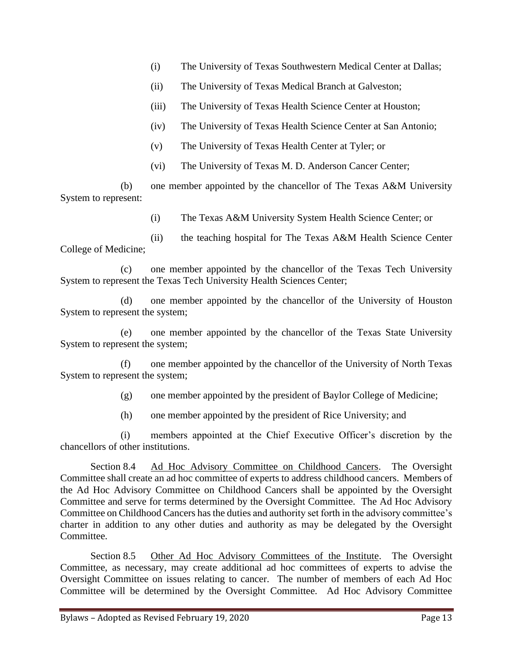- (i) The University of Texas Southwestern Medical Center at Dallas;
- (ii) The University of Texas Medical Branch at Galveston;
- (iii) The University of Texas Health Science Center at Houston;
- (iv) The University of Texas Health Science Center at San Antonio;
- (v) The University of Texas Health Center at Tyler; or
- (vi) The University of Texas M. D. Anderson Cancer Center;

(b) one member appointed by the chancellor of The Texas A&M University System to represent:

(i) The Texas A&M University System Health Science Center; or

(ii) the teaching hospital for The Texas A&M Health Science Center College of Medicine;

(c) one member appointed by the chancellor of the Texas Tech University System to represent the Texas Tech University Health Sciences Center;

(d) one member appointed by the chancellor of the University of Houston System to represent the system;

(e) one member appointed by the chancellor of the Texas State University System to represent the system;

(f) one member appointed by the chancellor of the University of North Texas System to represent the system;

(g) one member appointed by the president of Baylor College of Medicine;

(h) one member appointed by the president of Rice University; and

(i) members appointed at the Chief Executive Officer's discretion by the chancellors of other institutions.

<span id="page-15-0"></span>Section 8.4 Ad Hoc Advisory Committee on Childhood Cancers. The Oversight Committee shall create an ad hoc committee of experts to address childhood cancers. Members of the Ad Hoc Advisory Committee on Childhood Cancers shall be appointed by the Oversight Committee and serve for terms determined by the Oversight Committee. The Ad Hoc Advisory Committee on Childhood Cancers has the duties and authority set forth in the advisory committee's charter in addition to any other duties and authority as may be delegated by the Oversight Committee.

<span id="page-15-1"></span>Section 8.5 Other Ad Hoc Advisory Committees of the Institute. The Oversight Committee, as necessary, may create additional ad hoc committees of experts to advise the Oversight Committee on issues relating to cancer. The number of members of each Ad Hoc Committee will be determined by the Oversight Committee. Ad Hoc Advisory Committee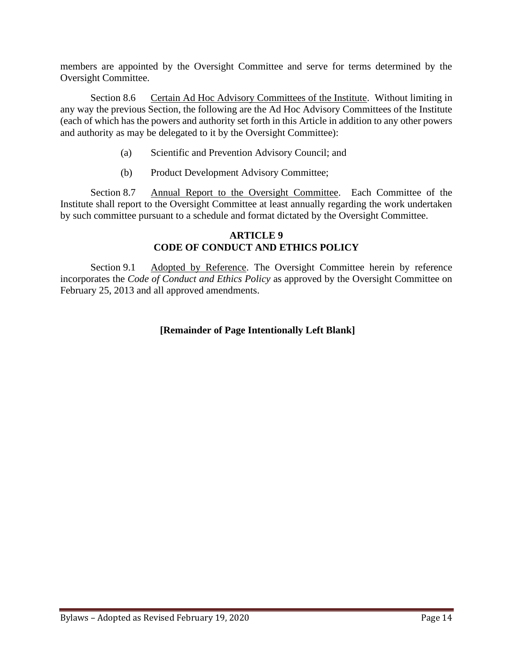members are appointed by the Oversight Committee and serve for terms determined by the Oversight Committee.

<span id="page-16-0"></span>Section 8.6 Certain Ad Hoc Advisory Committees of the Institute. Without limiting in any way the previous Section, the following are the Ad Hoc Advisory Committees of the Institute (each of which has the powers and authority set forth in this Article in addition to any other powers and authority as may be delegated to it by the Oversight Committee):

- (a) Scientific and Prevention Advisory Council; and
- (b) Product Development Advisory Committee;

<span id="page-16-1"></span>Section 8.7 Annual Report to the Oversight Committee. Each Committee of the Institute shall report to the Oversight Committee at least annually regarding the work undertaken by such committee pursuant to a schedule and format dictated by the Oversight Committee.

### **ARTICLE 9 CODE OF CONDUCT AND ETHICS POLICY**

<span id="page-16-3"></span><span id="page-16-2"></span>Section 9.1 Adopted by Reference. The Oversight Committee herein by reference incorporates the *Code of Conduct and Ethics Policy* as approved by the Oversight Committee on February 25, 2013 and all approved amendments.

## **[Remainder of Page Intentionally Left Blank]**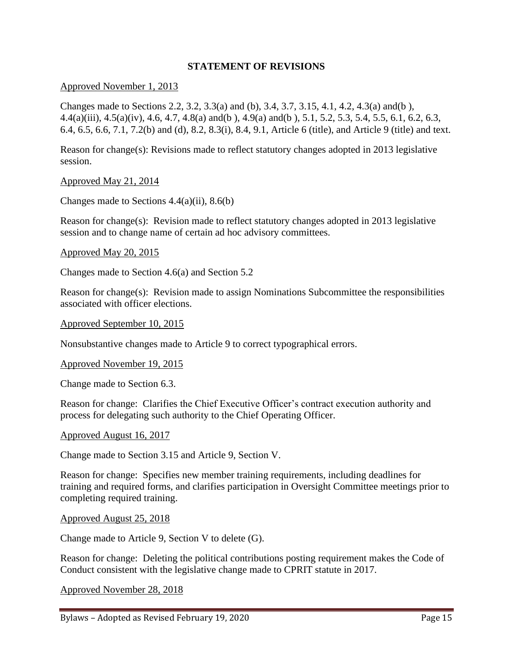## **STATEMENT OF REVISIONS**

#### <span id="page-17-0"></span>Approved November 1, 2013

Changes made to Sections 2.2, 3.2, 3.3(a) and (b), 3.4, 3.7, 3.15, 4.1, 4.2, 4.3(a) and(b ), 4.4(a)(iii), 4.5(a)(iv), 4.6, 4.7, 4.8(a) and(b ), 4.9(a) and(b ), 5.1, 5.2, 5.3, 5.4, 5.5, 6.1, 6.2, 6.3, 6.4, 6.5, 6.6, 7.1, 7.2(b) and (d), 8.2, 8.3(i), 8.4, 9.1, Article 6 (title), and Article 9 (title) and text.

Reason for change(s): Revisions made to reflect statutory changes adopted in 2013 legislative session.

Approved May 21, 2014

Changes made to Sections  $4.4(a)(ii)$ ,  $8.6(b)$ 

Reason for change(s): Revision made to reflect statutory changes adopted in 2013 legislative session and to change name of certain ad hoc advisory committees.

Approved May 20, 2015

Changes made to Section 4.6(a) and Section 5.2

Reason for change(s): Revision made to assign Nominations Subcommittee the responsibilities associated with officer elections.

Approved September 10, 2015

Nonsubstantive changes made to Article 9 to correct typographical errors.

#### Approved November 19, 2015

Change made to Section 6.3.

Reason for change: Clarifies the Chief Executive Officer's contract execution authority and process for delegating such authority to the Chief Operating Officer.

#### Approved August 16, 2017

Change made to Section 3.15 and Article 9, Section V.

Reason for change: Specifies new member training requirements, including deadlines for training and required forms, and clarifies participation in Oversight Committee meetings prior to completing required training.

Approved August 25, 2018

Change made to Article 9, Section V to delete (G).

Reason for change: Deleting the political contributions posting requirement makes the Code of Conduct consistent with the legislative change made to CPRIT statute in 2017.

Approved November 28, 2018